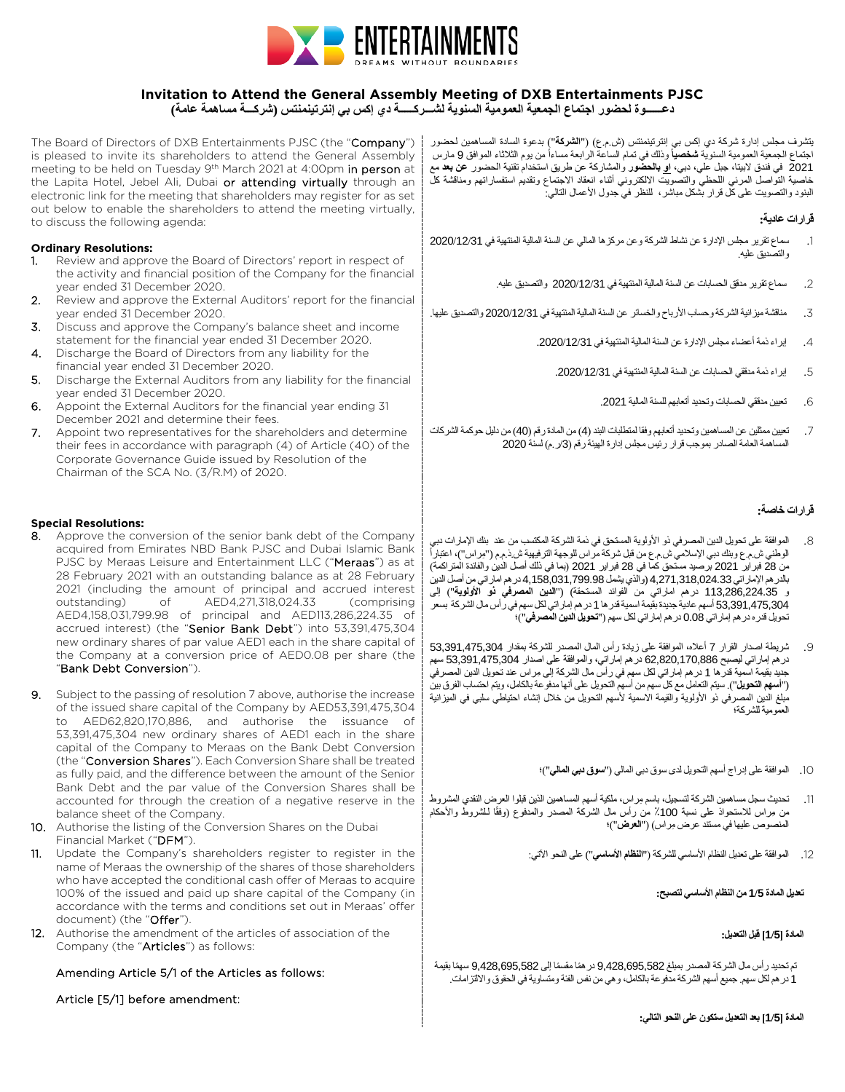

# **Invitation to Attend the General Assembly Meeting of DXB Entertainments PJSC**

**دعــــــوة لحضور اجتماع الجمعیة العمومیة السنویة لشـــركـــــة دي إكس بي إنترتینمنتس (شركـــة مساھمة عامة)**

The Board of Directors of DXB Entertainments PJSC (the "Company") یتشرف مجلس إدارة شركة دي إكس بي إنترتینمنتس (ش.م.ع) ("**الشركة**") بدعوة السادة المساھمین لحضور is pleased to invite its shareholders to attend the General Assembly meeting to be held on Tuesday 9<sup>th</sup> March 2021 at 4:00pm in person at the Lapita Hotel, Jebel Ali, Dubai or attending virtually through an electronic link for the meeting that shareholders may register for as set out below to enable the shareholders to attend the meeting virtually, to discuss the following agenda:

## **Ordinary Resolutions:**

- 1. Review and approve the Board of Directors' report in respect of the activity and financial position of the Company for the financial year ended 31 December 2020.
- 2. Review and approve the External Auditors' report for the financial year ended 31 December 2020.
- 3. Discuss and approve the Company's balance sheet and income statement for the financial year ended 31 December 2020.
- 4. Discharge the Board of Directors from any liability for the financial year ended 31 December 2020.
- 5. Discharge the External Auditors from any liability for the financial year ended 31 December 2020.
- 6. Appoint the External Auditors for the financial year ending 31 December 2021 and determine their fees.
- 7. Appoint two representatives for the shareholders and determine their fees in accordance with paragraph (4) of Article (40) of the Corporate Governance Guide issued by Resolution of the Chairman of the SCA No. (3/R.M) of 2020.

## **Special Resolutions:**

- 8. Approve the conversion of the senior bank debt of the Company acquired from Emirates NBD Bank PJSC and Dubai Islamic Bank PJSC by Meraas Leisure and Entertainment LLC ("Meraas") as at 28 February 2021 with an outstanding balance as at 28 February 2021 (including the amount of principal and accrued interest<br>outstanding) of AED4.271.318.024.33 (comprising outstanding) of AED4,271,318,024.33 (comprising AED4,158,031,799.98 of principal and AED113,286,224.35 of accrued interest) (the "Senior Bank Debt") into 53,391,475,304 new ordinary shares of par value AED1 each in the share capital of the Company at a conversion price of AED0.08 per share (the "Bank Debt Conversion").
- 9. Subject to the passing of resolution 7 above, authorise the increase of the issued share capital of the Company by AED53,391,475,304 to AED62,820,170,886, and authorise the issuance of 53,391,475,304 new ordinary shares of AED1 each in the share capital of the Company to Meraas on the Bank Debt Conversion (the "Conversion Shares"). Each Conversion Share shall be treated as fully paid, and the difference between the amount of the Senior Bank Debt and the par value of the Conversion Shares shall be accounted for through the creation of a negative reserve in the balance sheet of the Company.
- 10. Authorise the listing of the Conversion Shares on the Dubai Financial Market ("DFM").
- 11. Update the Company's shareholders register to register in the name of Meraas the ownership of the shares of those shareholders who have accepted the conditional cash offer of Meraas to acquire 100% of the issued and paid up share capital of the Company (in accordance with the terms and conditions set out in Meraas' offer document) (the "Offer").
- 12. Authorise the amendment of the articles of association of the Company (the "Articles") as follows:

## Amending Article 5/1 of the Articles as follows:

Article [5/1] before amendment:

اجتماع الجمعیة العمومیة السنویّة **شخصیاً** وذلك فی تمام الساعة الرابعة مساءاً من یوم الثلاثاء الموافق 9 مارس 2021 في فندق لابیتا، جبل علي، دبي، **او بالحضور** والمشاركة عن طریق استخدام تقنیة الحضور **عن بعد** مع خاصیة التواصل المرئي اللحظي والتصویت الالكتروني أثناء انعقاد الاجتماع وتقدیم استفساراتھم ومناقشة كل البنود والتصویت على كل قرار بشكل مباشر، للنظر في جدول الأعمال التالي:

## **قرارات عادیة:**

- .1 سماع تقریر مجلس الإدارة عن نشاط الشركة وعن مركزھا المالي عن السنة المالیة المنتھیة في 2020/12/31 والتصدیق علیھ.
	- .2 سماع تقریر مدقق الحسابات عن السنة المالیة المنتھیة في 2020/12/31 والتصدیق علیھ.
- .3 مناقشة میزانیة الشركة وحساب الأرباح والخسائر عن السنة المالیة المنتھیة في 2020/12/31 والتصدیق علیھا.
	- .4 إبراء ذمة أعضاء مجلس الإدارة عن السنة المالیة المنتھیة في .2020/12/31
		- 5. إبراء نمة مدققي الحسابات عن السنة المالية المنتهية في 2020/12/31.
			- .6 تعیین مدققي الحسابات وتحدید أتعابھم للسنة المالیة .2021
- .7 تعیین ممثلین عن المساھمین وتحدید أتعابھم وفقا لمتطلبات البند (4) من المادة رقم (40) من دلیل حوكمةالشركات المساھمة العامة الصادر بموجب قرار رئیس مجلس إدارة الھیئة رقم (/3ر.م) لسنة 2020

## **قرارات خاصة:**

- .8 الموافقة على تحویل الدین المصرفي ذو الأولویة المستحق في ذمة الشركة المكتسب من عند بنك الإمارات دبي الوطني ش.م.ع وبنك دبي الإسلامي ش.م.ع من قبل شركة مر اس للوجهة الترفيهية ش.ذ.م.م ("مِراس")، اعتبار أ من 28 فبرایر 2021 برصید مستحق كما في 28 فبرایر 2021 (بما في ذلك أصل الدین والفائدة المتراكمة) بالدرھم الإماراتي 4,271,318,024.33 (والذي یشمل 4,158,031,799.98 درھم اماراتي من أصل الدین و 113,286,224.35 درھم اماراتي من الفوائد المستحقة) ("**الدین المصرفي ذو الأولویة**") إلى 53,391,475,304 أسھم عادیة جدیدة بقیمة اسمیة قدرھا 1 درھم إماراتي لكل سھم في رأس مال الشركة بسعر تحویل قدره درھم إماراتي 0.08 درھم إماراتي لكل سھم ("**تحویل الدین المصرفي**")؛
- .9 شریطة اصدار القرار 7 أعلاه، الموافقة على زیادة رأس المال المصدر للشركة بمقدار 53,391,475,304 درھم إماراتي لیصبح 62,820,170,886 درھم إماراتي، والموافقة على اصدار 53,391,475,304 سھم جدید بقیمة اسمیة قدرھا 1 ِ درھم إماراتي لكل سھم في رأس مال الشركة إلى مراس عند تحویل الدین المصرفي ("**أسھم التحویل**"). سیتم التعامل مع كل سھم من أسھم التحویل على أنھا مدفوعة بالكامل، ویتم احتساب الفرق بین مبلغ الدین المصرفي ذو الأولویة والقیمة الاسمیة لأسھم التحویل من خلال إنشاء احتیاطي سلبي في المیزانیة العمومیة للشركة؛
	- .10 الموافقة على إدراج أسھم التحویل لدى سوق دبي المالي ("**سوق دبي المالي**")؛
- .11 تحدیث سجل مساھمین الشركة لتسجیل، ِ باسم مراس، ملكیة أسھم المساھمین الذین قبلوا العرض النقدي المشروط من مِراس للاستحواذ على نسبة 100٪ من رأس مال الشركة المصدر والمدفوع (وفقًا لـلشروط والأحكام ِ المنصوص علیھا في مستند عرض مراس) ("**العرض**")؛
	- .12 الموافقة على تعدیل النظام الأساسي للشركة ("**النظام الأساسي**") على النحو الآتي:

#### **تعدیل المادة 1/5 من النظام الأساسي لتصبح:**

#### **المادة [1/5] قبل التعدیل:**

تم تحدید رأس مال الشركة المصدر بمبلغ 9,428,695,582 در همًا مقسمًا إلى 9,428,695,582 سهمًا بقیمة 1 درھم لكل سھم. جمیع أسھم الشركة مدفوعة بالكامل، وھي من نفس الفئة ومتساویة في الحقوق والالتزامات.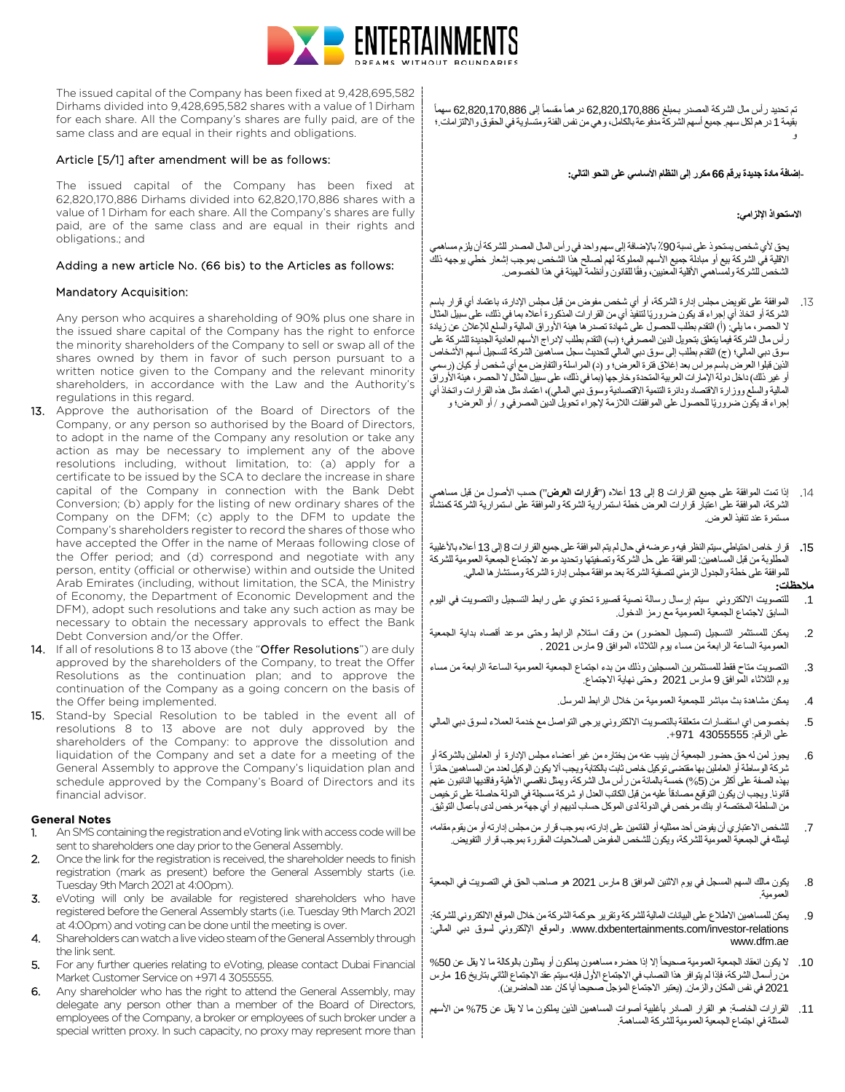

The issued capital of the Company has been fixed at 9,428,695,582 Dirhams divided into 9,428,695,582 shares with a value of 1 Dirham for each share. All the Company's shares are fully paid, are of the same class and are equal in their rights and obligations.

#### Article [5/1] after amendment will be as follows:

The issued capital of the Company has been fixed at 62,820,170,886 Dirhams divided into 62,820,170,886 shares with a value of 1 Dirham for each share. All the Company's shares are fully paid, are of the same class and are equal in their rights and obligations.; and

#### Adding a new article No. (66 bis) to the Articles as follows:

#### Mandatory Acquisition:

Any person who acquires a shareholding of 90% plus one share in the issued share capital of the Company has the right to enforce the minority shareholders of the Company to sell or swap all of the shares owned by them in favor of such person pursuant to a written notice given to the Company and the relevant minority shareholders, in accordance with the Law and the Authority's regulations in this regard.

- 13. Approve the authorisation of the Board of Directors of the Company, or any person so authorised by the Board of Directors, to adopt in the name of the Company any resolution or take any action as may be necessary to implement any of the above resolutions including, without limitation, to: (a) apply for a certificate to be issued by the SCA to declare the increase in share capital of the Company in connection with the Bank Debt Conversion; (b) apply for the listing of new ordinary shares of the Company on the DFM; (c) apply to the DFM to update the Company's shareholders register to record the shares of those who have accepted the Offer in the name of Meraas following close of the Offer period; and (d) correspond and negotiate with any person, entity (official or otherwise) within and outside the United Arab Emirates (including, without limitation, the SCA, the Ministry of Economy, the Department of Economic Development and the DFM), adopt such resolutions and take any such action as may be necessary to obtain the necessary approvals to effect the Bank Debt Conversion and/or the Offer.
- 14. If all of resolutions 8 to 13 above (the "Offer Resolutions") are duly approved by the shareholders of the Company, to treat the Offer Resolutions as the continuation plan; and to approve the continuation of the Company as a going concern on the basis of the Offer being implemented.
- 15. Stand-by Special Resolution to be tabled in the event all of resolutions 8 to 13 above are not duly approved by the shareholders of the Company: to approve the dissolution and liquidation of the Company and set a date for a meeting of the General Assembly to approve the Company's liquidation plan and schedule approved by the Company's Board of Directors and its financial advisor.

#### **General Notes**

- 1. An SMS containing the registration and eVoting link with access code will be sent to shareholders one day prior to the General Assembly.
- 2. Once the link for the registration is received, the shareholder needs to finish registration (mark as present) before the General Assembly starts (i.e. Tuesday 9th March 2021 at 4:00pm).
- 3. eVoting will only be available for registered shareholders who have registered before the General Assembly starts (i.e. Tuesday 9th March 2021 at 4:00pm) and voting can be done until the meeting is over.
- 4. Shareholders can watch a live video steam of the General Assembly through the link sent.
- 5. For any further queries relating to eVoting, please contact Dubai Financial Market Customer Service on +971 4 3055555.
- 6. Any shareholder who has the right to attend the General Assembly, may delegate any person other than a member of the Board of Directors, employees of the Company, a broker or employees of such broker under a special written proxy. In such capacity, no proxy may represent more than

تم تحدید رأس مال الشركة المصدر بـمبلغ 62,820,170,886 نر هماً مقسماً إلى 62,820,170,886 سهماً بقیمة 1 درھم لكل سھم. جمیع أسھم الشركة مدفوعة بالكامل، وھي من نفس الفئة ومتساویة في الحقوق والالتزامات.؛ و

#### **-إضافة مادة جدیدة برقم 66 مكرر إلى النظام الأساسي على النحو التالي:**

#### **الاستحواذ الإلزامي:**

یحق لأي شخص يستحوذ على نسبة 90٪ بالإضافة إلى سهم واحد في ر أس المال المصدر للشركة أن يلزم مساهم الاقلیة في الشركة بیع أو مبادلة جمیع الأسھم المملوكة لھم لصالح ھذا الشخص بموجب إشعار خطي یوجھھ ذلك ً الشخص للشركة ولمساھمي الأقلیة المعنیین، وفقا للقانون وأنظمة الھیئة في ھذا الخصوص.

- .13 الموافقة على تفویض مجلس إدارة الشركة، أو أي شخص مفوض من قبل مجلس الإدارة، باعتماد أي قرار باسم الشركة أو اتخاذ أي إجراء قد يكون ضروريًا لتتفيذ أي من القرارات المذكورة أعلاه بما في ذلك، على سبيل المثال لا الحصر، ما یلي: (أ) التقدم بطلب للحصول على شھادة تصدرھا ھیئة الأوراق المالیة والسلع للإعلان عن زیادة رأس مال الشركة فیما یتعلق بتحویل الدین المصرفي؛ (ب) التقدم بطلب لإدراج الأسھم العادیة الجدیدة للشركة على سوق دبي المالي؛ (ج) التقدم بطلب إلى سوق دبي المالي لتحدیث سجل مساھمین الشركة لتسجیل أسھم الأشخاص ِ الذین قبلوا العرض باسم مراس بعد إغلاق فترة العرض؛ و (د) المراسلة والتفاوض مع أي شخص أو كیان (رسمي أو غیر ذلك) داخل دولة الإمارات العربیة المتحدة وخارجھا (بما في ذلك، على سبیل المثال لا الحصر، ھیئة الأوراق المالیة والسلع ووزارة الاقتصاد ودائرة التنمیة الاقتصادیة وسوق دبي المالي)، اعتماد مثل ھذه القرارات واتخاذ أي إجراء قد يكون ضروريًا للحصول على الموافقات اللازمة لإجراء تحويل الدين المصرفي و / أو العرض؛ و
- .14 إذا تمت الموافقة على جمیع القرارات 8 إلى 13 أعلاه ("**قرارات العرض**") حسب الأصول من قبل مساھمي الشركة، الموافقة على اعتبار قرارات العرض خطة استمراریة الشركة والموافقة على استمراریة الشركة كمنشأة مستمرة عند تنفیذ العرض.
- **.**15 قرار خاص احتیاطي سیتم النظر فیھ وعرضھ في حال لم یتم الموافقة على جمیع القرارات 8 إلى 13 أعلاه بالأغلبیة المطلوبة من قبل المساھمین: للموافقة على حل الشركة وتصفیتھا وتحدید موعد لاجتماع الجمعیة العمومیة للشركة للموافقة على خطة والجدول الزمني لتصفیة الشركة بعد موافقة مجلس إدارة الشركة ومستشارھا المالي.

## **ملاحظات:**

- .1 للتصویت الالكتروني سیتم إرسال رسالة نصیة قصیرة تحتوي على رابط التسجیل والتصویت في الیوم السابق لاجتماع الجمعیة العمومیة مع رمز الدخول.
- .2 یمكن للمستثمر التسجیل (تسجیل الحضور) من وقت استلام الرابط وحتى موعد أقصاه بدایة الجمعیة العمومیة الساعة الرابعة من مساء یوم الثلاثاء الموافق 9 مارس 2021 .
- .3 التصویت متاح فقط للمستثمرین المسجلین وذلك من بدء اجتماع الجمعیة العمومیة الساعة الرابعة من مساء یوم الثلاثاء الموافق 9 مارس 2021 وحتى نھایة الاجتماع.
	- .4 یمكن مشاھدة بث مباشر للجمعیة العمومیة من خلال الرابط المرسل.
- .5 بخصوص اي استفسارات متعلقة بالتصویت الالكتروني یرجى التواصل مع خدمة العملاء لسوق دبي المالي على الرقم: 43055555 .+971
- .6 یجوز لمن لھ حق حضور الجمعیة أن ینیب عنھ من یختاره من غیر أعضاء مجلس الإدارة أو العاملین بالشركة أو ً شركة الوساطة أو العاملین بھا مقتضى توكیل خاص ثابت بالكتابة ویجب ألا یكون الوكیل لعدد من المساھمین حائزا بھذه الصفة على أكثر من (%5) خمسة بالمائة من رأس مال الشركة، ویمثل ناقصي الأھلیة وفاقدیھا النائبون عنھم قانونا. ويجب ان يكون التوقيع مصادقاً عليه من قبل الكاتب العدل او شركة مسجلة في الدولة حاصلة على ترخيص من السلطة المختصة او بنك مرخص في الدولة لدى الموكل حساب لدیھم او أي جھة مرخص لدى بأعمال التوثیق.
- .7 للشخص الاعتباري أن یفوض أحد ممثلیھ أو القائمین على إدارتھ، بموجب قرار من مجلس إدارتھ أو من یقوم مقامھ، لیمثلھ في الجمعیة العمومیة للشركة، ویكون للشخص المفوض الصلاحیات المقررة بموجب قرار التفویض.
- .8 یكون مالك السھم المسجل في یوم الاثنین الموافق 8 مارس 2021 ھو صاحب الحق في التصویت في الجمعیة العمومیة.
- .9 یمكن للمساھمین الاطلاع على البیانات المالیة للشركة وتقریر حوكمة الشركة من خلال الموقع الالكتروني للشركة: relations-investor/com.dxbentertainments.www. والموقع الإلكتروني لسوق دبي المالي: www.dfm.ae
- 10 . لا يكون انعقاد الجمعية العمومية صحيحاً إلا إذا حضره مساهمون بملكون أو يمثلون بالوكالة ما لا يقل عن 50% من رأسمال الشركة، فإذا لم یتوافر ھذا النصاب في الاجتماع الأول فإنھ سیتم عقد الاجتماع الثاني بتاریخ 16 مارس 2021 في نفس المكان والزمان. (یعتبر الاجتماع المؤجل صحیحا أیا كان عدد الحاضرین).
- .11 القرارات الخاصة: ھو القرار الصادر بأغلبیة أصوات المساھمین الذین یملكون ما لا یقل عن %75 من الأسھم الممثلة في اجتماع الجمعیة العمومیة للشركة المساھمة.